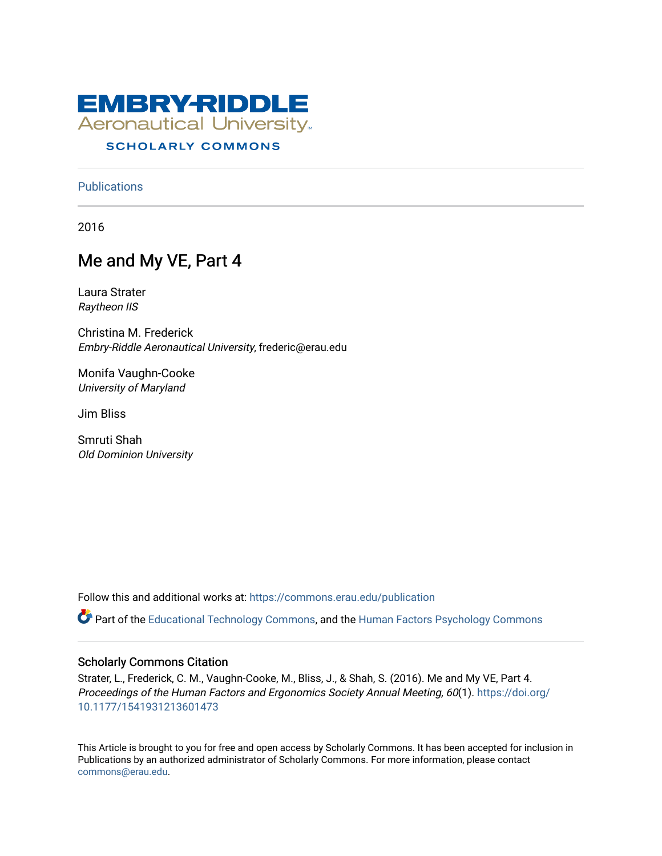

## **SCHOLARLY COMMONS**

**Publications** 

2016

# Me and My VE, Part 4

Laura Strater Raytheon IIS

Christina M. Frederick Embry-Riddle Aeronautical University, frederic@erau.edu

Monifa Vaughn-Cooke University of Maryland

Jim Bliss

Smruti Shah Old Dominion University

Follow this and additional works at: [https://commons.erau.edu/publication](https://commons.erau.edu/publication?utm_source=commons.erau.edu%2Fpublication%2F1732&utm_medium=PDF&utm_campaign=PDFCoverPages) 

Part of the [Educational Technology Commons,](http://network.bepress.com/hgg/discipline/1415?utm_source=commons.erau.edu%2Fpublication%2F1732&utm_medium=PDF&utm_campaign=PDFCoverPages) and the [Human Factors Psychology Commons](http://network.bepress.com/hgg/discipline/1412?utm_source=commons.erau.edu%2Fpublication%2F1732&utm_medium=PDF&utm_campaign=PDFCoverPages)

#### Scholarly Commons Citation

Strater, L., Frederick, C. M., Vaughn-Cooke, M., Bliss, J., & Shah, S. (2016). Me and My VE, Part 4. Proceedings of the Human Factors and Ergonomics Society Annual Meeting, 60(1). [https://doi.org/](https://doi.org/10.1177/1541931213601473) [10.1177/1541931213601473](https://doi.org/10.1177/1541931213601473)

This Article is brought to you for free and open access by Scholarly Commons. It has been accepted for inclusion in Publications by an authorized administrator of Scholarly Commons. For more information, please contact [commons@erau.edu](mailto:commons@erau.edu).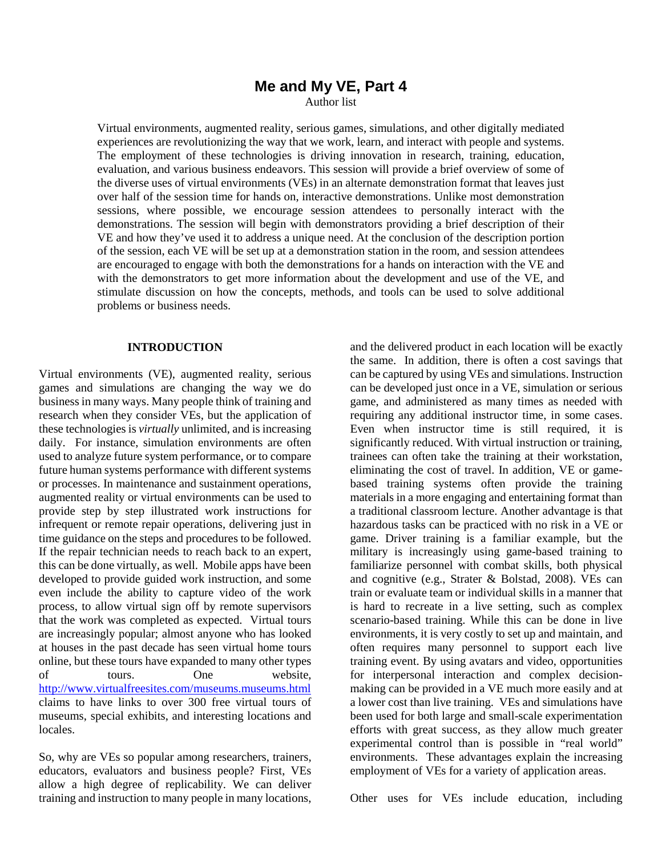# **Me and My VE, Part 4**

Author list

Virtual environments, augmented reality, serious games, simulations, and other digitally mediated experiences are revolutionizing the way that we work, learn, and interact with people and systems. The employment of these technologies is driving innovation in research, training, education, evaluation, and various business endeavors. This session will provide a brief overview of some of the diverse uses of virtual environments (VEs) in an alternate demonstration format that leaves just over half of the session time for hands on, interactive demonstrations. Unlike most demonstration sessions, where possible, we encourage session attendees to personally interact with the demonstrations. The session will begin with demonstrators providing a brief description of their VE and how they've used it to address a unique need. At the conclusion of the description portion of the session, each VE will be set up at a demonstration station in the room, and session attendees are encouraged to engage with both the demonstrations for a hands on interaction with the VE and with the demonstrators to get more information about the development and use of the VE, and stimulate discussion on how the concepts, methods, and tools can be used to solve additional problems or business needs.

#### **INTRODUCTION**

Virtual environments (VE), augmented reality, serious games and simulations are changing the way we do business in many ways. Many people think of training and research when they consider VEs, but the application of these technologies is *virtually* unlimited, and is increasing daily. For instance, simulation environments are often used to analyze future system performance, or to compare future human systems performance with different systems or processes. In maintenance and sustainment operations, augmented reality or virtual environments can be used to provide step by step illustrated work instructions for infrequent or remote repair operations, delivering just in time guidance on the steps and procedures to be followed. If the repair technician needs to reach back to an expert, this can be done virtually, as well. Mobile apps have been developed to provide guided work instruction, and some even include the ability to capture video of the work process, to allow virtual sign off by remote supervisors that the work was completed as expected. Virtual tours are increasingly popular; almost anyone who has looked at houses in the past decade has seen virtual home tours online, but these tours have expanded to many other types of tours. One website, <http://www.virtualfreesites.com/museums.museums.html> claims to have links to over 300 free virtual tours of museums, special exhibits, and interesting locations and locales.

So, why are VEs so popular among researchers, trainers, educators, evaluators and business people? First, VEs allow a high degree of replicability. We can deliver training and instruction to many people in many locations,

and the delivered product in each location will be exactly the same. In addition, there is often a cost savings that can be captured by using VEs and simulations. Instruction can be developed just once in a VE, simulation or serious game, and administered as many times as needed with requiring any additional instructor time, in some cases. Even when instructor time is still required, it is significantly reduced. With virtual instruction or training, trainees can often take the training at their workstation, eliminating the cost of travel. In addition, VE or gamebased training systems often provide the training materials in a more engaging and entertaining format than a traditional classroom lecture. Another advantage is that hazardous tasks can be practiced with no risk in a VE or game. Driver training is a familiar example, but the military is increasingly using game-based training to familiarize personnel with combat skills, both physical and cognitive (e.g., Strater & Bolstad, 2008). VEs can train or evaluate team or individual skills in a manner that is hard to recreate in a live setting, such as complex scenario-based training. While this can be done in live environments, it is very costly to set up and maintain, and often requires many personnel to support each live training event. By using avatars and video, opportunities for interpersonal interaction and complex decisionmaking can be provided in a VE much more easily and at a lower cost than live training. VEs and simulations have been used for both large and small-scale experimentation efforts with great success, as they allow much greater experimental control than is possible in "real world" environments. These advantages explain the increasing employment of VEs for a variety of application areas.

Other uses for VEs include education, including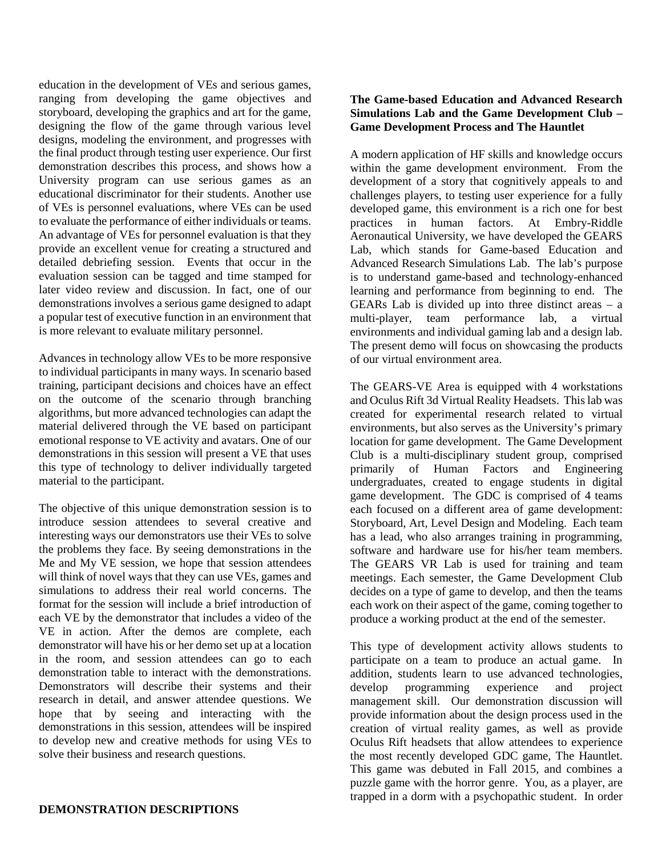education in the development of VEs and serious games, ranging from developing the game objectives and storyboard, developing the graphics and art for the game, designing the flow of the game through various level designs, modeling the environment, and progresses with the final product through testing user experience. Our first demonstration describes this process, and shows how a University program can use serious games as an educational discriminator for their students. Another use of VEs is personnel evaluations, where VEs can be used to evaluate the performance of either individuals or teams. An advantage of VEs for personnel evaluation is that they provide an excellent venue for creating a structured and detailed debriefing session. Events that occur in the evaluation session can be tagged and time stamped for later video review and discussion. In fact, one of our demonstrations involves a serious game designed to adapt a popular test of executive function in an environment that is more relevant to evaluate military personnel.

Advances in technology allow VEs to be more responsive to individual participants in many ways. In scenario based training, participant decisions and choices have an effect on the outcome of the scenario through branching algorithms, but more advanced technologies can adapt the material delivered through the VE based on participant emotional response to VE activity and avatars. One of our demonstrations in this session will present a VE that uses this type of technology to deliver individually targeted material to the participant.

The objective of this unique demonstration session is to introduce session attendees to several creative and interesting ways our demonstrators use their VEs to solve the problems they face. By seeing demonstrations in the Me and My VE session, we hope that session attendees will think of novel ways that they can use VEs, games and simulations to address their real world concerns. The format for the session will include a brief introduction of each VE by the demonstrator that includes a video of the VE in action. After the demos are complete, each demonstrator will have his or her demo set up at a location in the room, and session attendees can go to each demonstration table to interact with the demonstrations. Demonstrators will describe their systems and their research in detail, and answer attendee questions. We hope that by seeing and interacting with the demonstrations in this session, attendees will be inspired to develop new and creative methods for using VEs to solve their business and research questions.

### **The Game-based Education and Advanced Research Simulations Lab and the Game Development Club – Game Development Process and The Hauntlet**

A modern application of HF skills and knowledge occurs within the game development environment. From the development of a story that cognitively appeals to and challenges players, to testing user experience for a fully developed game, this environment is a rich one for best practices in human factors. At Embry-Riddle Aeronautical University, we have developed the GEARS Lab, which stands for Game-based Education and Advanced Research Simulations Lab. The lab's purpose is to understand game-based and technology-enhanced learning and performance from beginning to end. The GEARs Lab is divided up into three distinct areas  $-$  a multi-player, team performance lab, a virtual environments and individual gaming lab and a design lab. The present demo will focus on showcasing the products of our virtual environment area.

The GEARS-VE Area is equipped with 4 workstations and Oculus Rift 3d Virtual Reality Headsets. This lab was created for experimental research related to virtual environments, but also serves as the University's primary location for game development. The Game Development Club is a multi-disciplinary student group, comprised primarily of Human Factors and Engineering undergraduates, created to engage students in digital game development. The GDC is comprised of 4 teams each focused on a different area of game development: Storyboard, Art, Level Design and Modeling. Each team has a lead, who also arranges training in programming, software and hardware use for his/her team members. The GEARS VR Lab is used for training and team meetings. Each semester, the Game Development Club decides on a type of game to develop, and then the teams each work on their aspect of the game, coming together to produce a working product at the end of the semester.

This type of development activity allows students to participate on a team to produce an actual game. In addition, students learn to use advanced technologies, develop programming experience and project management skill. Our demonstration discussion will provide information about the design process used in the creation of virtual reality games, as well as provide Oculus Rift headsets that allow attendees to experience the most recently developed GDC game, The Hauntlet. This game was debuted in Fall 2015, and combines a puzzle game with the horror genre. You, as a player, are trapped in a dorm with a psychopathic student. In order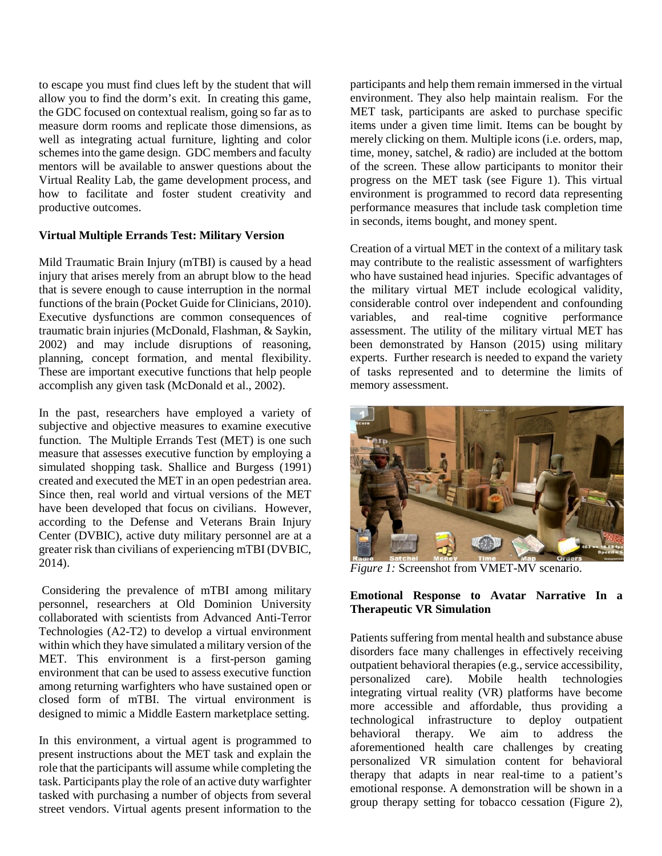to escape you must find clues left by the student that will allow you to find the dorm's exit. In creating this game, the GDC focused on contextual realism, going so far as to measure dorm rooms and replicate those dimensions, as well as integrating actual furniture, lighting and color schemes into the game design. GDC members and faculty mentors will be available to answer questions about the Virtual Reality Lab, the game development process, and how to facilitate and foster student creativity and productive outcomes.

### **Virtual Multiple Errands Test: Military Version**

Mild Traumatic Brain Injury (mTBI) is caused by a head injury that arises merely from an abrupt blow to the head that is severe enough to cause interruption in the normal functions of the brain (Pocket Guide for Clinicians, 2010). Executive dysfunctions are common consequences of traumatic brain injuries (McDonald, Flashman, & Saykin, 2002) and may include disruptions of reasoning, planning, concept formation, and mental flexibility. These are important executive functions that help people accomplish any given task (McDonald et al., 2002).

In the past, researchers have employed a variety of subjective and objective measures to examine executive function. The Multiple Errands Test (MET) is one such measure that assesses executive function by employing a simulated shopping task. Shallice and Burgess (1991) created and executed the MET in an open pedestrian area. Since then, real world and virtual versions of the MET have been developed that focus on civilians. However, according to the Defense and Veterans Brain Injury Center (DVBIC), active duty military personnel are at a greater risk than civilians of experiencing mTBI (DVBIC, 2014).

Considering the prevalence of mTBI among military personnel, researchers at Old Dominion University collaborated with scientists from Advanced Anti-Terror Technologies (A2-T2) to develop a virtual environment within which they have simulated a military version of the MET. This environment is a first-person gaming environment that can be used to assess executive function among returning warfighters who have sustained open or closed form of mTBI. The virtual environment is designed to mimic a Middle Eastern marketplace setting.

In this environment, a virtual agent is programmed to present instructions about the MET task and explain the role that the participants will assume while completing the task. Participants play the role of an active duty warfighter tasked with purchasing a number of objects from several street vendors. Virtual agents present information to the

participants and help them remain immersed in the virtual environment. They also help maintain realism. For the MET task, participants are asked to purchase specific items under a given time limit. Items can be bought by merely clicking on them. Multiple icons (i.e. orders, map, time, money, satchel, & radio) are included at the bottom of the screen. These allow participants to monitor their progress on the MET task (see Figure 1). This virtual environment is programmed to record data representing performance measures that include task completion time in seconds, items bought, and money spent.

Creation of a virtual MET in the context of a military task may contribute to the realistic assessment of warfighters who have sustained head injuries. Specific advantages of the military virtual MET include ecological validity, considerable control over independent and confounding variables, and real-time cognitive performance assessment. The utility of the military virtual MET has been demonstrated by Hanson (2015) using military experts. Further research is needed to expand the variety of tasks represented and to determine the limits of memory assessment.



*Figure 1:* Screenshot from VMET-MV scenario.

### **Emotional Response to Avatar Narrative In a Therapeutic VR Simulation**

Patients suffering from mental health and substance abuse disorders face many challenges in effectively receiving outpatient behavioral therapies (e.g., service accessibility, personalized care). Mobile health technologies integrating virtual reality (VR) platforms have become more accessible and affordable, thus providing a technological infrastructure to deploy outpatient behavioral therapy. We aim to address the aforementioned health care challenges by creating personalized VR simulation content for behavioral therapy that adapts in near real-time to a patient's emotional response. A demonstration will be shown in a group therapy setting for tobacco cessation (Figure 2),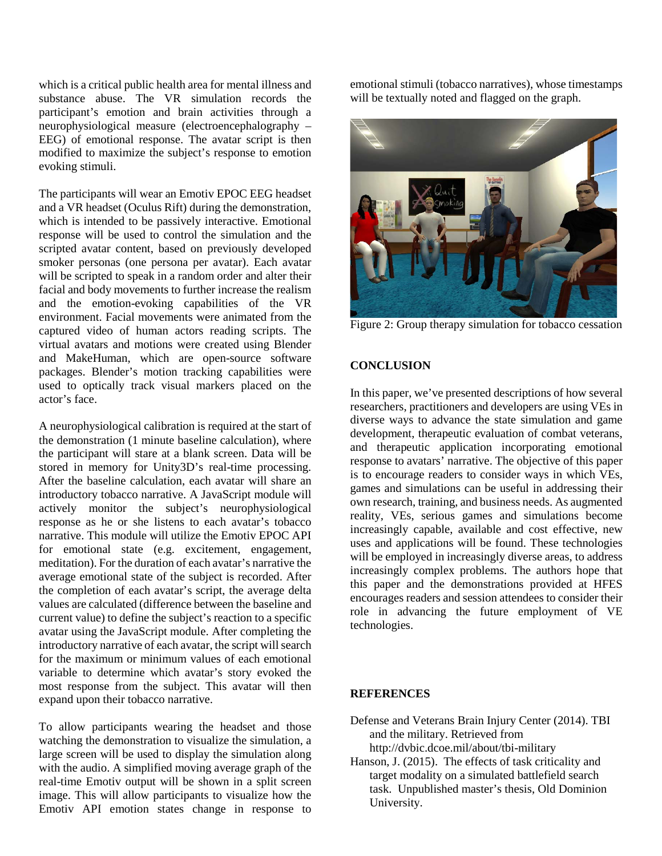which is a critical public health area for mental illness and substance abuse. The VR simulation records the participant's emotion and brain activities through a neurophysiological measure (electroencephalography – EEG) of emotional response. The avatar script is then modified to maximize the subject's response to emotion evoking stimuli.

The participants will wear an Emotiv EPOC EEG headset and a VR headset (Oculus Rift) during the demonstration, which is intended to be passively interactive. Emotional response will be used to control the simulation and the scripted avatar content, based on previously developed smoker personas (one persona per avatar). Each avatar will be scripted to speak in a random order and alter their facial and body movements to further increase the realism and the emotion-evoking capabilities of the VR environment. Facial movements were animated from the captured video of human actors reading scripts. The virtual avatars and motions were created using Blender and MakeHuman, which are open-source software packages. Blender's motion tracking capabilities were used to optically track visual markers placed on the actor's face.

A neurophysiological calibration is required at the start of the demonstration (1 minute baseline calculation), where the participant will stare at a blank screen. Data will be stored in memory for Unity3D's real-time processing. After the baseline calculation, each avatar will share an introductory tobacco narrative. A JavaScript module will actively monitor the subject's neurophysiological response as he or she listens to each avatar's tobacco narrative. This module will utilize the Emotiv EPOC API for emotional state (e.g. excitement, engagement, meditation). For the duration of each avatar's narrative the average emotional state of the subject is recorded. After the completion of each avatar's script, the average delta values are calculated (difference between the baseline and current value) to define the subject's reaction to a specific avatar using the JavaScript module. After completing the introductory narrative of each avatar, the script will search for the maximum or minimum values of each emotional variable to determine which avatar's story evoked the most response from the subject. This avatar will then expand upon their tobacco narrative.

To allow participants wearing the headset and those watching the demonstration to visualize the simulation, a large screen will be used to display the simulation along with the audio. A simplified moving average graph of the real-time Emotiv output will be shown in a split screen image. This will allow participants to visualize how the Emotiv API emotion states change in response to

emotional stimuli (tobacco narratives), whose timestamps will be textually noted and flagged on the graph.



Figure 2: Group therapy simulation for tobacco cessation

#### **CONCLUSION**

In this paper, we've presented descriptions of how several researchers, practitioners and developers are using VEs in diverse ways to advance the state simulation and game development, therapeutic evaluation of combat veterans, and therapeutic application incorporating emotional response to avatars' narrative. The objective of this paper is to encourage readers to consider ways in which VEs, games and simulations can be useful in addressing their own research, training, and business needs. As augmented reality, VEs, serious games and simulations become increasingly capable, available and cost effective, new uses and applications will be found. These technologies will be employed in increasingly diverse areas, to address increasingly complex problems. The authors hope that this paper and the demonstrations provided at HFES encourages readers and session attendees to consider their role in advancing the future employment of VE technologies.

#### **REFERENCES**

- Defense and Veterans Brain Injury Center (2014). TBI and the military. Retrieved from http://dvbic.dcoe.mil/about/tbi-military
- Hanson, J. (2015). The effects of task criticality and target modality on a simulated battlefield search task. Unpublished master's thesis, Old Dominion University.